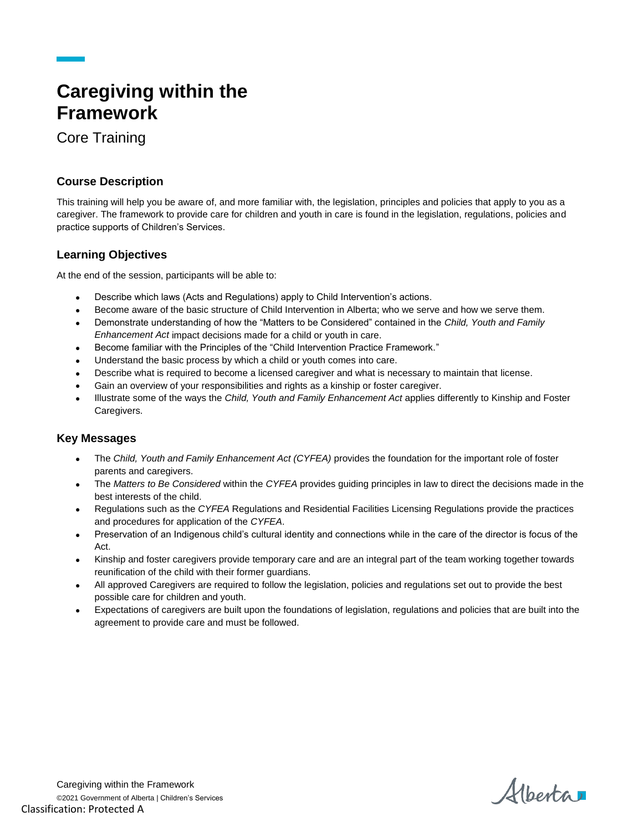# **Caregiving within the Framework**

Core Training

## **Course Description**

This training will help you be aware of, and more familiar with, the legislation, principles and policies that apply to you as a caregiver. The framework to provide care for children and youth in care is found in the legislation, regulations, policies and practice supports of Children's Services.

### **Learning Objectives**

At the end of the session, participants will be able to:

- Describe which laws (Acts and Regulations) apply to Child Intervention's actions.
- Become aware of the basic structure of Child Intervention in Alberta; who we serve and how we serve them.
- Demonstrate understanding of how the "Matters to be Considered" contained in the *Child, Youth and Family Enhancement Act* impact decisions made for a child or youth in care.
- Become familiar with the Principles of the "Child Intervention Practice Framework."
- Understand the basic process by which a child or youth comes into care.
- Describe what is required to become a licensed caregiver and what is necessary to maintain that license.
- Gain an overview of your responsibilities and rights as a kinship or foster caregiver.
- Illustrate some of the ways the *Child, Youth and Family Enhancement Act* applies differently to Kinship and Foster Caregivers.

#### **Key Messages**

- The *Child, Youth and Family Enhancement Act (CYFEA)* provides the foundation for the important role of foster parents and caregivers.
- The *Matters to Be Considered* within the *CYFEA* provides guiding principles in law to direct the decisions made in the best interests of the child.
- Regulations such as the *CYFEA* Regulations and Residential Facilities Licensing Regulations provide the practices and procedures for application of the *CYFEA*.
- Preservation of an Indigenous child's cultural identity and connections while in the care of the director is focus of the Act.
- Kinship and foster caregivers provide temporary care and are an integral part of the team working together towards reunification of the child with their former guardians.
- All approved Caregivers are required to follow the legislation, policies and regulations set out to provide the best possible care for children and youth.
- Expectations of caregivers are built upon the foundations of legislation, regulations and policies that are built into the agreement to provide care and must be followed.

Alberta